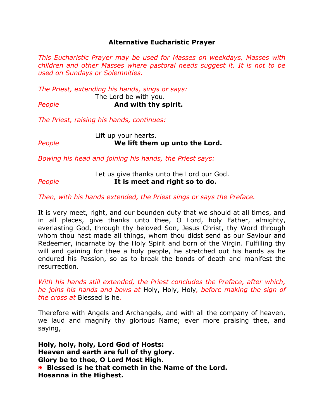## **Alternative Eucharistic Prayer**

*This Eucharistic Prayer may be used for Masses on weekdays, Masses with children and other Masses where pastoral needs suggest it. It is not to be used on Sundays or Solemnities.* 

*The Priest, extending his hands, sings or says:*

The Lord be with you.

*People* **And with thy spirit.**

*The Priest, raising his hands, continues:*

Lift up your hearts. *People* **We lift them up unto the Lord.**

*Bowing his head and joining his hands, the Priest says:*

## Let us give thanks unto the Lord our God. *People* **It is meet and right so to do.**

*Then, with his hands extended, the Priest sings or says the Preface.*

It is very meet, right, and our bounden duty that we should at all times, and in all places, give thanks unto thee, O Lord, holy Father, almighty, everlasting God, through thy beloved Son, Jesus Christ, thy Word through whom thou hast made all things, whom thou didst send as our Saviour and Redeemer, incarnate by the Holy Spirit and born of the Virgin. Fulfilling thy will and gaining for thee a holy people, he stretched out his hands as he endured his Passion, so as to break the bonds of death and manifest the resurrection.

*With his hands still extended, the Priest concludes the Preface, after which, he joins his hands and bows at* Holy, Holy, Holy*, before making the sign of the cross at* Blessed is he*.*

Therefore with Angels and Archangels, and with all the company of heaven, we laud and magnify thy glorious Name; ever more praising thee, and saying,

**Holy, holy, holy, Lord God of Hosts: Heaven and earth are full of thy glory. Glory be to thee, O Lord Most High. Blessed is he that cometh in the Name of the Lord. Hosanna in the Highest.**